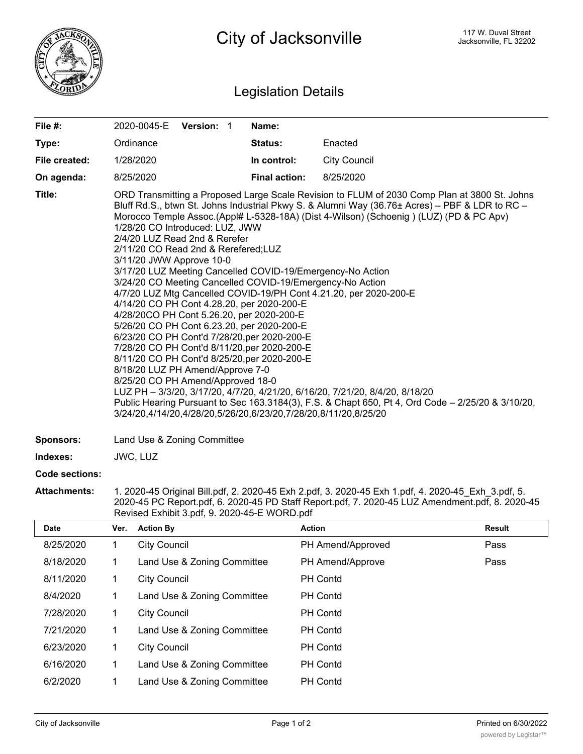

## Legislation Details

| File $#$ :    | 2020-0045-E                                                                                                                                                                                                                                                                                                                                                                                                                                                                                                                                                                                                                                                                                                                                                                                                                                                                                                                                                                                                                                                                                                                                                                                                                                                | Version: 1 |  | Name:                |                     |  |  |
|---------------|------------------------------------------------------------------------------------------------------------------------------------------------------------------------------------------------------------------------------------------------------------------------------------------------------------------------------------------------------------------------------------------------------------------------------------------------------------------------------------------------------------------------------------------------------------------------------------------------------------------------------------------------------------------------------------------------------------------------------------------------------------------------------------------------------------------------------------------------------------------------------------------------------------------------------------------------------------------------------------------------------------------------------------------------------------------------------------------------------------------------------------------------------------------------------------------------------------------------------------------------------------|------------|--|----------------------|---------------------|--|--|
| Type:         | Ordinance                                                                                                                                                                                                                                                                                                                                                                                                                                                                                                                                                                                                                                                                                                                                                                                                                                                                                                                                                                                                                                                                                                                                                                                                                                                  |            |  | <b>Status:</b>       | Enacted             |  |  |
| File created: | 1/28/2020                                                                                                                                                                                                                                                                                                                                                                                                                                                                                                                                                                                                                                                                                                                                                                                                                                                                                                                                                                                                                                                                                                                                                                                                                                                  |            |  | In control:          | <b>City Council</b> |  |  |
| On agenda:    | 8/25/2020                                                                                                                                                                                                                                                                                                                                                                                                                                                                                                                                                                                                                                                                                                                                                                                                                                                                                                                                                                                                                                                                                                                                                                                                                                                  |            |  | <b>Final action:</b> | 8/25/2020           |  |  |
| Title:        | ORD Transmitting a Proposed Large Scale Revision to FLUM of 2030 Comp Plan at 3800 St. Johns<br>Bluff Rd.S., btwn St. Johns Industrial Pkwy S. & Alumni Way (36.76± Acres) – PBF & LDR to RC –<br>Morocco Temple Assoc.(Appl# L-5328-18A) (Dist 4-Wilson) (Schoenig) (LUZ) (PD & PC Apv)<br>1/28/20 CO Introduced: LUZ, JWW<br>2/4/20 LUZ Read 2nd & Rerefer<br>2/11/20 CO Read 2nd & Rerefered; LUZ<br>3/11/20 JWW Approve 10-0<br>3/17/20 LUZ Meeting Cancelled COVID-19/Emergency-No Action<br>3/24/20 CO Meeting Cancelled COVID-19/Emergency-No Action<br>4/7/20 LUZ Mtg Cancelled COVID-19/PH Cont 4.21.20, per 2020-200-E<br>4/14/20 CO PH Cont 4.28.20, per 2020-200-E<br>4/28/20CO PH Cont 5.26.20, per 2020-200-E<br>5/26/20 CO PH Cont 6.23.20, per 2020-200-E<br>6/23/20 CO PH Cont'd 7/28/20, per 2020-200-E<br>7/28/20 CO PH Cont'd 8/11/20, per 2020-200-E<br>8/11/20 CO PH Cont'd 8/25/20, per 2020-200-E<br>8/18/20 LUZ PH Amend/Approve 7-0<br>8/25/20 CO PH Amend/Approved 18-0<br>LUZ PH - 3/3/20, 3/17/20, 4/7/20, 4/21/20, 6/16/20, 7/21/20, 8/4/20, 8/18/20<br>Public Hearing Pursuant to Sec 163.3184(3), F.S. & Chapt 650, Pt 4, Ord Code – 2/25/20 & 3/10/20,<br>3/24/20,4/14/20,4/28/20,5/26/20,6/23/20,7/28/20,8/11/20,8/25/20 |            |  |                      |                     |  |  |

**Sponsors:** Land Use & Zoning Committee

**Indexes:** JWC, LUZ

## **Code sections:**

**Attachments:** 1. 2020-45 Original Bill.pdf, 2. 2020-45 Exh 2.pdf, 3. 2020-45 Exh 1.pdf, 4. 2020-45\_Exh\_3.pdf, 5. 2020-45 PC Report.pdf, 6. 2020-45 PD Staff Report.pdf, 7. 2020-45 LUZ Amendment.pdf, 8. 2020-45 Revised Exhibit 3.pdf, 9. 2020-45-E WORD.pdf

| <b>Date</b> | Ver. | <b>Action By</b>            | <b>Action</b>     | Result |
|-------------|------|-----------------------------|-------------------|--------|
| 8/25/2020   | 1    | <b>City Council</b>         | PH Amend/Approved | Pass   |
| 8/18/2020   | 1    | Land Use & Zoning Committee | PH Amend/Approve  | Pass   |
| 8/11/2020   | 1    | <b>City Council</b>         | <b>PH Contd</b>   |        |
| 8/4/2020    | 1    | Land Use & Zoning Committee | <b>PH Contd</b>   |        |
| 7/28/2020   | 1    | <b>City Council</b>         | <b>PH Contd</b>   |        |
| 7/21/2020   | 1    | Land Use & Zoning Committee | <b>PH Contd</b>   |        |
| 6/23/2020   | 1    | <b>City Council</b>         | <b>PH Contd</b>   |        |
| 6/16/2020   | 1    | Land Use & Zoning Committee | <b>PH Contd</b>   |        |
| 6/2/2020    | 1    | Land Use & Zoning Committee | <b>PH Contd</b>   |        |